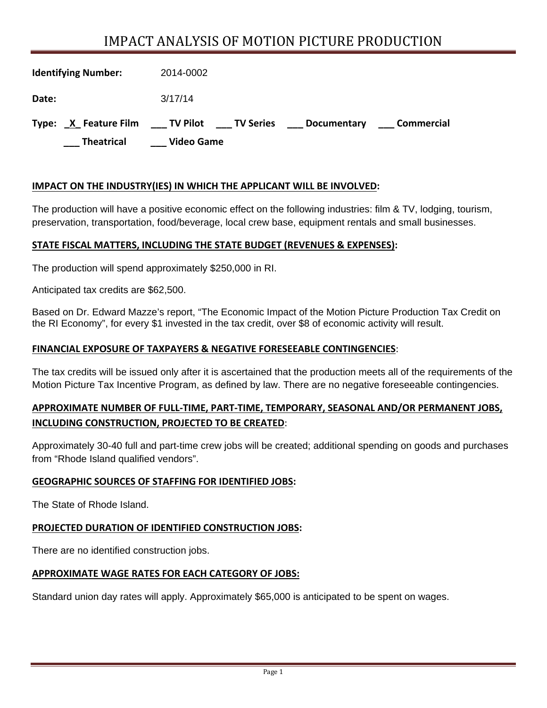# IMPACT ANALYSIS OF MOTION PICTURE PRODUCTION

| <b>Identifying Number:</b> | 2014-0002                                                               |
|----------------------------|-------------------------------------------------------------------------|
| Date:                      | 3/17/14                                                                 |
| Type: X Feature Film       | <b>TV Pilot</b><br><b>Commercial</b><br><b>TV Series</b><br>Documentary |
| <b>Theatrical</b>          | Video Game                                                              |

#### **IMPACT ON THE INDUSTRY(IES) IN WHICH THE APPLICANT WILL BE INVOLVED:**

The production will have a positive economic effect on the following industries: film & TV, lodging, tourism, preservation, transportation, food/beverage, local crew base, equipment rentals and small businesses.

#### **STATE FISCAL MATTERS, INCLUDING THE STATE BUDGET (REVENUES & EXPENSES):**

The production will spend approximately \$250,000 in RI.

Anticipated tax credits are \$62,500.

Based on Dr. Edward Mazze's report, "The Economic Impact of the Motion Picture Production Tax Credit on the RI Economy", for every \$1 invested in the tax credit, over \$8 of economic activity will result.

#### **FINANCIAL EXPOSURE OF TAXPAYERS & NEGATIVE FORESEEABLE CONTINGENCIES**:

The tax credits will be issued only after it is ascertained that the production meets all of the requirements of the Motion Picture Tax Incentive Program, as defined by law. There are no negative foreseeable contingencies.

### **APPROXIMATE NUMBER OF FULL‐TIME, PART‐TIME, TEMPORARY, SEASONAL AND/OR PERMANENT JOBS, INCLUDING CONSTRUCTION, PROJECTED TO BE CREATED**:

Approximately 30-40 full and part-time crew jobs will be created; additional spending on goods and purchases from "Rhode Island qualified vendors".

#### **GEOGRAPHIC SOURCES OF STAFFING FOR IDENTIFIED JOBS:**

The State of Rhode Island.

#### **PROJECTED DURATION OF IDENTIFIED CONSTRUCTION JOBS:**

There are no identified construction jobs.

#### **APPROXIMATE WAGE RATES FOR EACH CATEGORY OF JOBS:**

Standard union day rates will apply. Approximately \$65,000 is anticipated to be spent on wages.